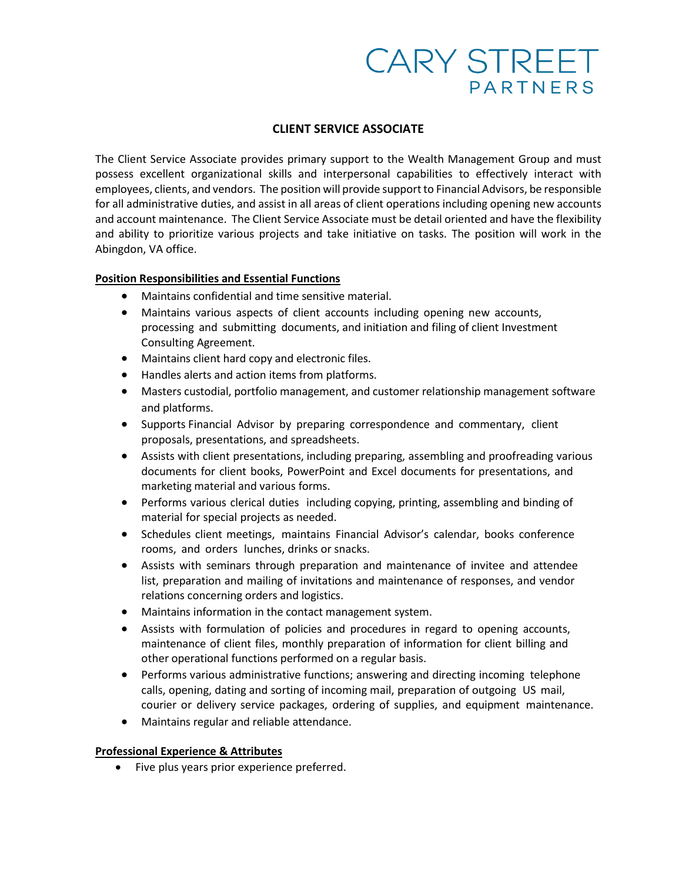# **CARY STREET PARTNERS**

#### **CLIENT SERVICE ASSOCIATE**

The Client Service Associate provides primary support to the Wealth Management Group and must possess excellent organizational skills and interpersonal capabilities to effectively interact with employees, clients, and vendors. The position will provide support to Financial Advisors, be responsible for all administrative duties, and assist in all areas of client operations including opening new accounts and account maintenance. The Client Service Associate must be detail oriented and have the flexibility and ability to prioritize various projects and take initiative on tasks. The position will work in the Abingdon, VA office.

## **Position Responsibilities and Essential Functions**

- Maintains confidential and time sensitive material.
- Maintains various aspects of client accounts including opening new accounts, processing and submitting documents, and initiation and filing of client Investment Consulting Agreement.
- Maintains client hard copy and electronic files.
- Handles alerts and action items from platforms.
- Masters custodial, portfolio management, and customer relationship management software and platforms.
- Supports Financial Advisor by preparing correspondence and commentary, client proposals, presentations, and spreadsheets.
- Assists with client presentations, including preparing, assembling and proofreading various documents for client books, PowerPoint and Excel documents for presentations, and marketing material and various forms.
- Performs various clerical duties including copying, printing, assembling and binding of material for special projects as needed.
- Schedules client meetings, maintains Financial Advisor's calendar, books conference rooms, and orders lunches, drinks or snacks.
- Assists with seminars through preparation and maintenance of invitee and attendee list, preparation and mailing of invitations and maintenance of responses, and vendor relations concerning orders and logistics.
- Maintains information in the contact management system.
- Assists with formulation of policies and procedures in regard to opening accounts, maintenance of client files, monthly preparation of information for client billing and other operational functions performed on a regular basis.
- Performs various administrative functions; answering and directing incoming telephone calls, opening, dating and sorting of incoming mail, preparation of outgoing US mail, courier or delivery service packages, ordering of supplies, and equipment maintenance.
- Maintains regular and reliable attendance.

#### **Professional Experience & Attributes**

• Five plus years prior experience preferred.